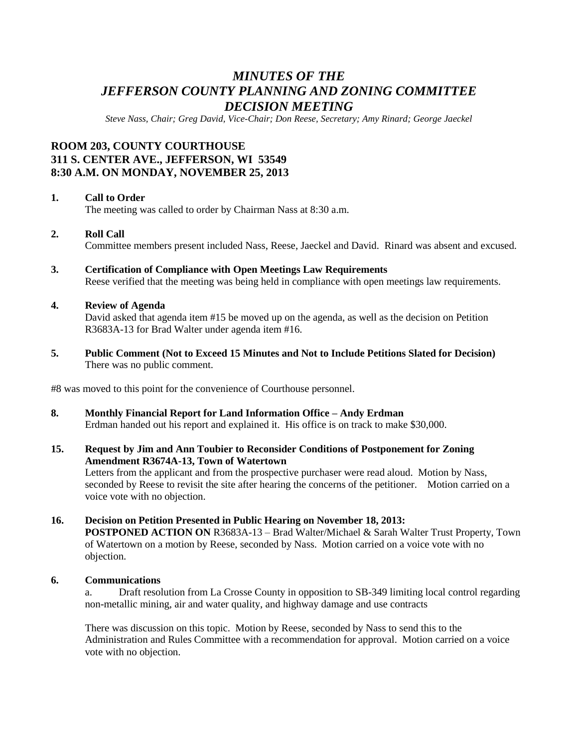# *MINUTES OF THE JEFFERSON COUNTY PLANNING AND ZONING COMMITTEE DECISION MEETING*

*Steve Nass, Chair; Greg David, Vice-Chair; Don Reese, Secretary; Amy Rinard; George Jaeckel*

## **ROOM 203, COUNTY COURTHOUSE 311 S. CENTER AVE., JEFFERSON, WI 53549 8:30 A.M. ON MONDAY, NOVEMBER 25, 2013**

#### **1. Call to Order**

The meeting was called to order by Chairman Nass at 8:30 a.m.

#### **2. Roll Call**

Committee members present included Nass, Reese, Jaeckel and David. Rinard was absent and excused.

**3. Certification of Compliance with Open Meetings Law Requirements** Reese verified that the meeting was being held in compliance with open meetings law requirements.

#### **4. Review of Agenda**

David asked that agenda item #15 be moved up on the agenda, as well as the decision on Petition R3683A-13 for Brad Walter under agenda item #16.

**5. Public Comment (Not to Exceed 15 Minutes and Not to Include Petitions Slated for Decision)** There was no public comment.

#8 was moved to this point for the convenience of Courthouse personnel.

- **8. Monthly Financial Report for Land Information Office – Andy Erdman** Erdman handed out his report and explained it. His office is on track to make \$30,000.
- **15. Request by Jim and Ann Toubier to Reconsider Conditions of Postponement for Zoning Amendment R3674A-13, Town of Watertown**

Letters from the applicant and from the prospective purchaser were read aloud. Motion by Nass, seconded by Reese to revisit the site after hearing the concerns of the petitioner. Motion carried on a voice vote with no objection.

#### **16. Decision on Petition Presented in Public Hearing on November 18, 2013:**

**POSTPONED ACTION ON** R3683A-13 – Brad Walter/Michael & Sarah Walter Trust Property, Town of Watertown on a motion by Reese, seconded by Nass. Motion carried on a voice vote with no objection.

#### **6. Communications**

a. Draft resolution from La Crosse County in opposition to SB-349 limiting local control regarding non-metallic mining, air and water quality, and highway damage and use contracts

There was discussion on this topic. Motion by Reese, seconded by Nass to send this to the Administration and Rules Committee with a recommendation for approval. Motion carried on a voice vote with no objection.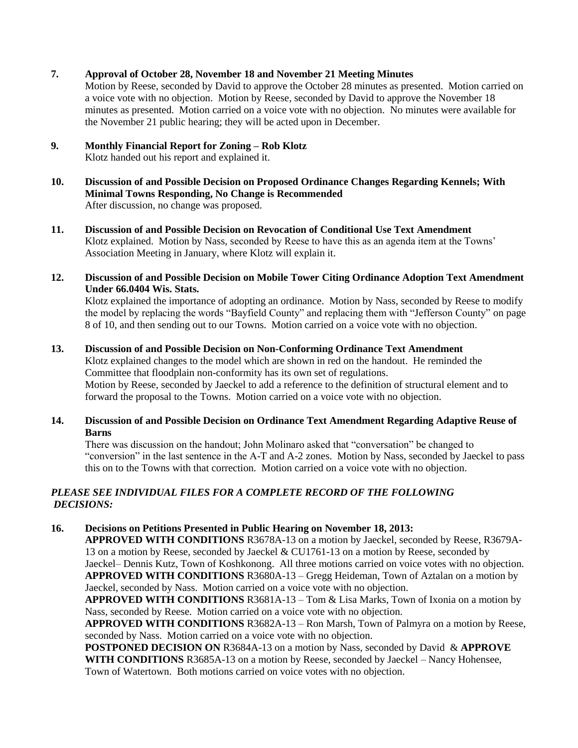## **7. Approval of October 28, November 18 and November 21 Meeting Minutes**

Motion by Reese, seconded by David to approve the October 28 minutes as presented. Motion carried on a voice vote with no objection. Motion by Reese, seconded by David to approve the November 18 minutes as presented. Motion carried on a voice vote with no objection. No minutes were available for the November 21 public hearing; they will be acted upon in December.

# **9. Monthly Financial Report for Zoning – Rob Klotz**

Klotz handed out his report and explained it.

- **10. Discussion of and Possible Decision on Proposed Ordinance Changes Regarding Kennels; With Minimal Towns Responding, No Change is Recommended**  After discussion, no change was proposed.
- **11. Discussion of and Possible Decision on Revocation of Conditional Use Text Amendment**  Klotz explained. Motion by Nass, seconded by Reese to have this as an agenda item at the Towns' Association Meeting in January, where Klotz will explain it.
- **12. Discussion of and Possible Decision on Mobile Tower Citing Ordinance Adoption Text Amendment Under 66.0404 Wis. Stats.**

Klotz explained the importance of adopting an ordinance. Motion by Nass, seconded by Reese to modify the model by replacing the words "Bayfield County" and replacing them with "Jefferson County" on page 8 of 10, and then sending out to our Towns. Motion carried on a voice vote with no objection.

- **13. Discussion of and Possible Decision on Non-Conforming Ordinance Text Amendment** Klotz explained changes to the model which are shown in red on the handout. He reminded the Committee that floodplain non-conformity has its own set of regulations. Motion by Reese, seconded by Jaeckel to add a reference to the definition of structural element and to forward the proposal to the Towns. Motion carried on a voice vote with no objection.
- **14. Discussion of and Possible Decision on Ordinance Text Amendment Regarding Adaptive Reuse of Barns**

There was discussion on the handout; John Molinaro asked that "conversation" be changed to "conversion" in the last sentence in the A-T and A-2 zones. Motion by Nass, seconded by Jaeckel to pass this on to the Towns with that correction. Motion carried on a voice vote with no objection.

## *PLEASE SEE INDIVIDUAL FILES FOR A COMPLETE RECORD OF THE FOLLOWING DECISIONS:*

## **16. Decisions on Petitions Presented in Public Hearing on November 18, 2013:**

**APPROVED WITH CONDITIONS** R3678A-13 on a motion by Jaeckel, seconded by Reese, R3679A-13 on a motion by Reese, seconded by Jaeckel & CU1761-13 on a motion by Reese, seconded by Jaeckel– Dennis Kutz, Town of Koshkonong. All three motions carried on voice votes with no objection. **APPROVED WITH CONDITIONS** R3680A-13 – Gregg Heideman, Town of Aztalan on a motion by Jaeckel, seconded by Nass. Motion carried on a voice vote with no objection.

**APPROVED WITH CONDITIONS** R3681A-13 – Tom & Lisa Marks, Town of Ixonia on a motion by Nass, seconded by Reese. Motion carried on a voice vote with no objection.

**APPROVED WITH CONDITIONS** R3682A-13 – Ron Marsh, Town of Palmyra on a motion by Reese, seconded by Nass. Motion carried on a voice vote with no objection.

**POSTPONED DECISION ON** R3684A-13 on a motion by Nass, seconded by David & **APPROVE WITH CONDITIONS** R3685A-13 on a motion by Reese, seconded by Jaeckel – Nancy Hohensee, Town of Watertown. Both motions carried on voice votes with no objection.